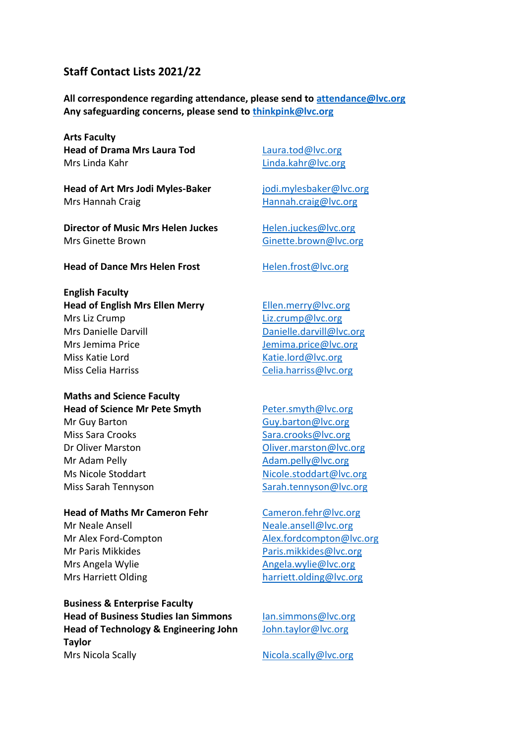# **Staff Contact Lists 2021/22**

**All correspondence regarding attendance, please send to [attendance@lvc.org](mailto:attendance@lvc.org) Any safeguarding concerns, please send to [thinkpink@lvc.org](mailto:thinkpink@lvc.org)**

**Arts Faculty Head of Drama Mrs Laura Tod**  Mrs Linda Kahr

**Head of Art Mrs Jodi Myles-Baker** Mrs Hannah Craig

**Director of Music Mrs Helen Juckes**  Mrs Ginette Brown

[Laura.tod@lvc.org](mailto:Laura.tod@lvc.org) [Linda.kahr@lvc.org](mailto:Linda.kahr@lvc.org)

jodi.mylesbaker@lvc.org [Hannah.craig@lvc.org](mailto:Hannah.craig@lvc.org)

[Helen.juckes@lvc.org](mailto:Helen.juckes@lvc.org) [Ginette.brown@lvc.org](mailto:Ginette.brown@lvc.org)

**Head of Dance Mrs Helen Frost** Helen.frost@lvc.org

**English Faculty Head of English Mrs Ellen Merry**  Mrs Liz Crump Mrs Danielle Darvill Mrs Jemima Price Miss Katie Lord Miss Celia Harriss

### **Maths and Science Faculty Head of Science Mr Pete Smyth**

Mr Guy Barton Miss Sara Crooks Dr Oliver Marston Mr Adam Pelly Ms Nicole Stoddart Miss Sarah Tennyson

## **Head of Maths Mr Cameron Fehr**

Mr Neale Ansell Mr Alex Ford-Compton Mr Paris Mikkides Mrs Angela Wylie Mrs Harriett Olding

**Business & Enterprise Faculty Head of Business Studies Ian Simmons Head of Technology & Engineering John Taylor**  Mrs Nicola Scally

[Ellen.merry@lvc.org](mailto:Ellen.merry@lvc.org) [Liz.crump@lvc.org](mailto:Liz.crump@lvc.org) [Danielle.darvill@lvc.org](mailto:Danielle.darvill@lvc.org) [Jemima.price@lvc.org](mailto:Jemima.price@lvc.org) [Katie.lord@lvc.org](mailto:Katie.lord@lvc.org) [Celia.harriss@lvc.org](mailto:Celia.harriss@lvc.org)

[Peter.smyth@lvc.org](mailto:Peter.smyth@lvc.org) [Guy.barton@lvc.org](mailto:Guy.barton@lvc.org) [Sara.crooks@lvc.org](mailto:Sara.crooks@lvc.org) [Oliver.marston@lvc.org](mailto:Oliver.marston@lvc.org) [Adam.pelly@lvc.org](mailto:Adam.pelly@lvc.org) [Nicole.stoddart@lvc.org](mailto:Nicole.stoddart@lvc.org) [Sarah.tennyson@lvc.org](mailto:Sarah.tennyson@lvc.org)

Cameron.fehr@lvc.org [Neale.ansell@lvc.org](mailto:Neale.ansell@lvc.org) [Alex.fordcompton@lvc.org](mailto:Alex.fordcompton@lvc.org) [Paris.mikkides@lvc.org](mailto:Paris.mikkides@lvc.org) [Angela.wylie@lvc.org](mailto:Angela.wylie@lvc.org) [harriett.olding@lvc.org](mailto:harriett.olding@lvc.org)

[Ian.simmons@lvc.org](mailto:Ian.simmons@lvc.org) [John.taylor@lvc.org](mailto:John.taylor@lvc.org)

[Nicola.scally@lvc.org](mailto:Nicola.scally@lvc.org)